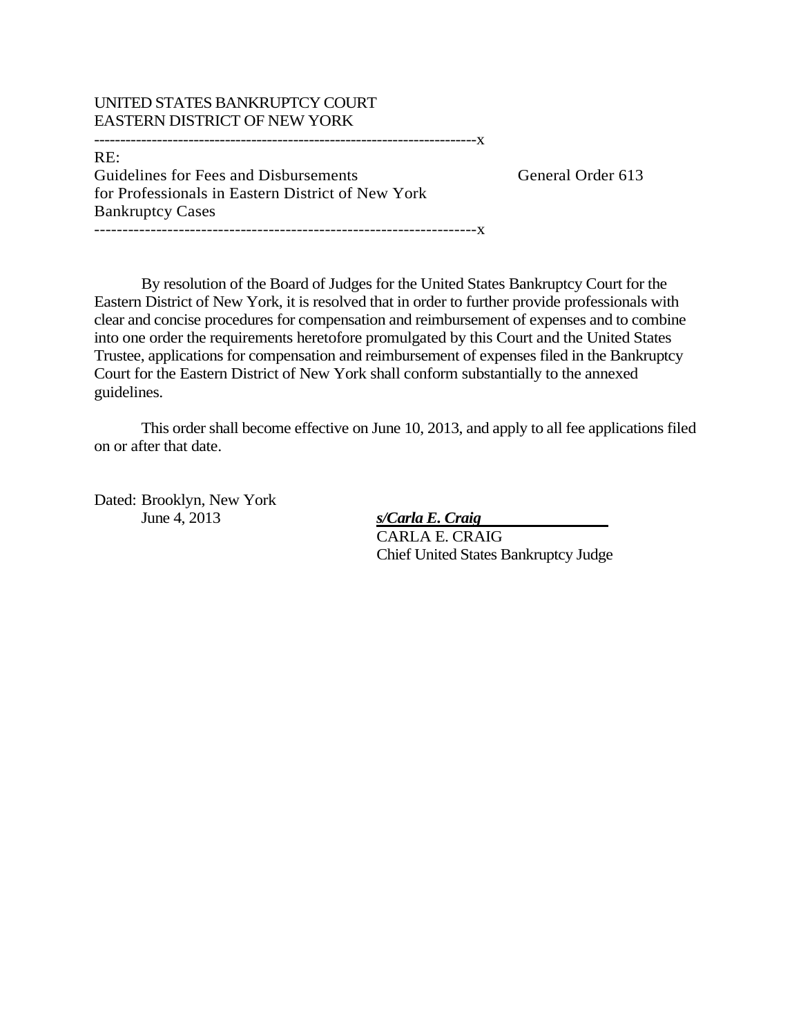| UNITED STATES BANKRUPTCY COURT |  |
|--------------------------------|--|
| EASTERN DISTRICT OF NEW YORK   |  |
|                                |  |

RE: Guidelines for Fees and Disbursements General Order 613 for Professionals in Eastern District of New York Bankruptcy Cases --------------------------------------------------------------------x

By resolution of the Board of Judges for the United States Bankruptcy Court for the Eastern District of New York, it is resolved that in order to further provide professionals with clear and concise procedures for compensation and reimbursement of expenses and to combine into one order the requirements heretofore promulgated by this Court and the United States Trustee, applications for compensation and reimbursement of expenses filed in the Bankruptcy Court for the Eastern District of New York shall conform substantially to the annexed guidelines.

This order shall become effective on June 10, 2013, and apply to all fee applications filed on or after that date.

Dated: Brooklyn, New York June 4, 2013 *s/Carla E. Craig*

CARLA E. CRAIG Chief United States Bankruptcy Judge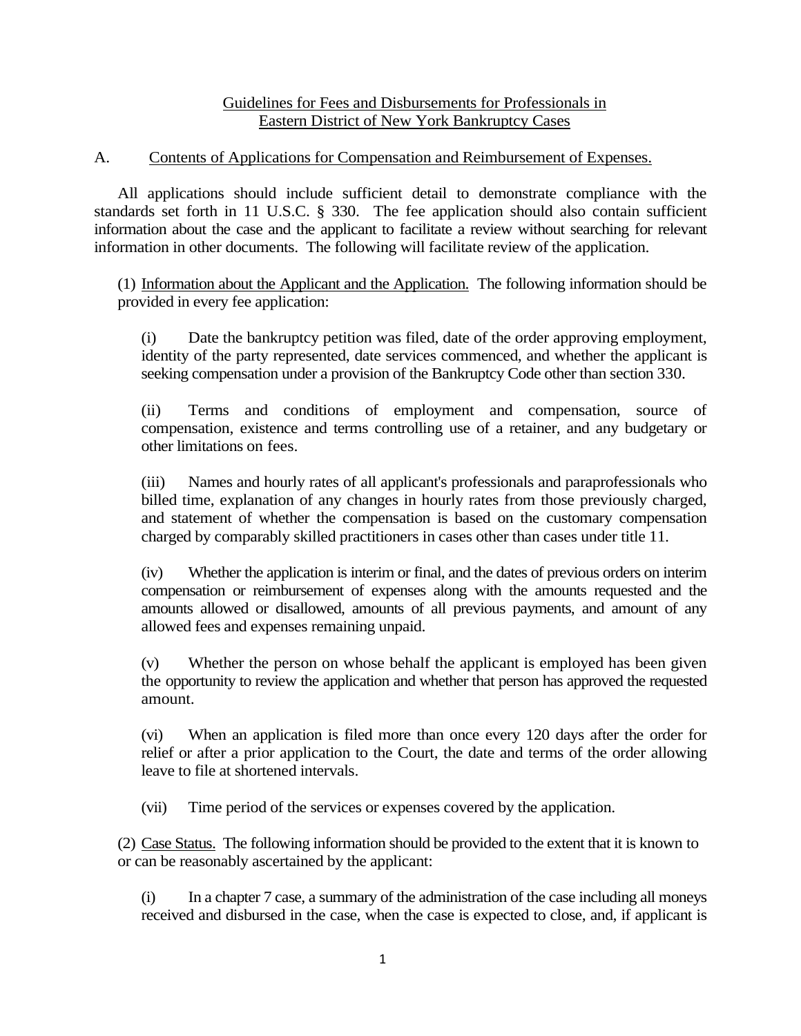# Guidelines for Fees and Disbursements for Professionals in Eastern District of New York Bankruptcy Cases

## A. Contents of Applications for Compensation and Reimbursement of Expenses.

All applications should include sufficient detail to demonstrate compliance with the standards set forth in 11 U.S.C. § 330. The fee application should also contain sufficient information about the case and the applicant to facilitate a review without searching for relevant information in other documents. The following will facilitate review of the application.

(1) Information about the Applicant and the Application. The following information should be provided in every fee application:

(i) Date the bankruptcy petition was filed, date of the order approving employment, identity of the party represented, date services commenced, and whether the applicant is seeking compensation under a provision of the Bankruptcy Code other than section 330.

(ii) Terms and conditions of employment and compensation, source of compensation, existence and terms controlling use of a retainer, and any budgetary or other limitations on fees.

(iii) Names and hourly rates of all applicant's professionals and paraprofessionals who billed time, explanation of any changes in hourly rates from those previously charged, and statement of whether the compensation is based on the customary compensation charged by comparably skilled practitioners in cases other than cases under title 11.

(iv) Whether the application is interim or final, and the dates of previous orders on interim compensation or reimbursement of expenses along with the amounts requested and the amounts allowed or disallowed, amounts of all previous payments, and amount of any allowed fees and expenses remaining unpaid.

(v) Whether the person on whose behalf the applicant is employed has been given the opportunity to review the application and whether that person has approved the requested amount.

(vi) When an application is filed more than once every 120 days after the order for relief or after a prior application to the Court, the date and terms of the order allowing leave to file at shortened intervals.

(vii) Time period of the services or expenses covered by the application.

(2) Case Status. The following information should be provided to the extent that it is known to or can be reasonably ascertained by the applicant:

(i) In a chapter 7 case, a summary of the administration of the case including all moneys received and disbursed in the case, when the case is expected to close, and, if applicant is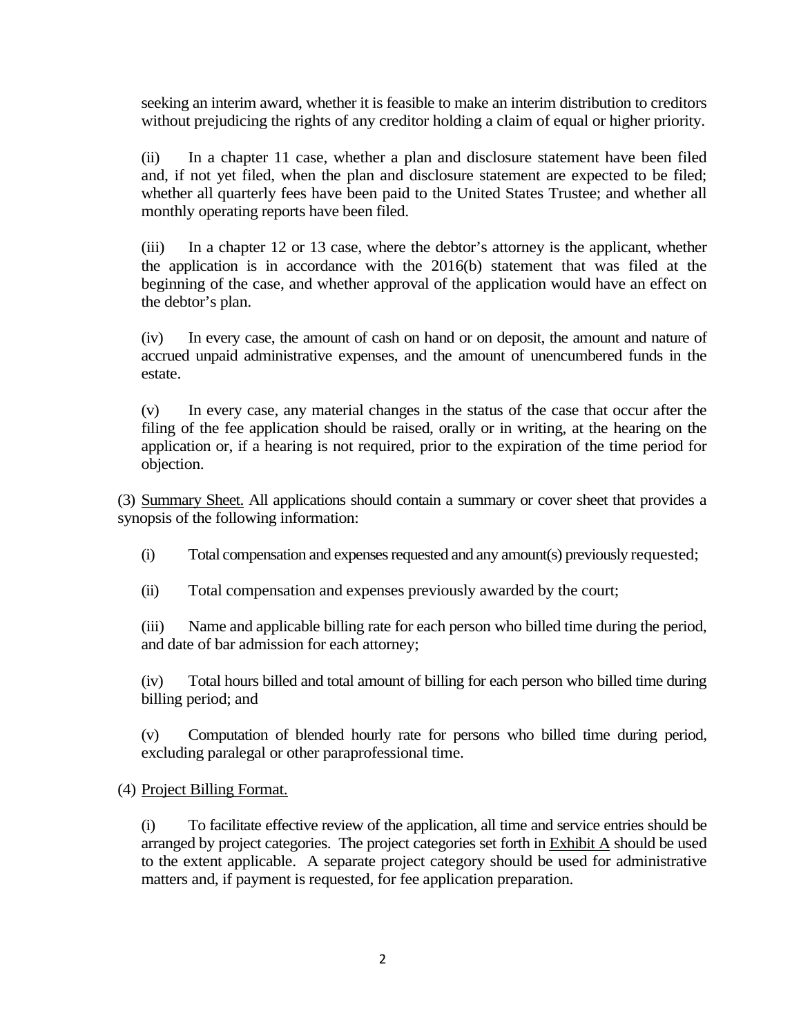seeking an interim award, whether it is feasible to make an interim distribution to creditors without prejudicing the rights of any creditor holding a claim of equal or higher priority.

(ii) In a chapter 11 case, whether a plan and disclosure statement have been filed and, if not yet filed, when the plan and disclosure statement are expected to be filed; whether all quarterly fees have been paid to the United States Trustee; and whether all monthly operating reports have been filed.

(iii) In a chapter 12 or 13 case, where the debtor's attorney is the applicant, whether the application is in accordance with the 2016(b) statement that was filed at the beginning of the case, and whether approval of the application would have an effect on the debtor's plan.

(iv) In every case, the amount of cash on hand or on deposit, the amount and nature of accrued unpaid administrative expenses, and the amount of unencumbered funds in the estate.

(v) In every case, any material changes in the status of the case that occur after the filing of the fee application should be raised, orally or in writing, at the hearing on the application or, if a hearing is not required, prior to the expiration of the time period for objection.

(3) Summary Sheet. All applications should contain a summary or cover sheet that provides a synopsis of the following information:

(i) Total compensation and expenses requested and any amount(s) previously requested;

(ii) Total compensation and expenses previously awarded by the court;

(iii) Name and applicable billing rate for each person who billed time during the period, and date of bar admission for each attorney;

(iv) Total hours billed and total amount of billing for each person who billed time during billing period; and

(v) Computation of blended hourly rate for persons who billed time during period, excluding paralegal or other paraprofessional time.

(4) Project Billing Format.

(i) To facilitate effective review of the application, all time and service entries should be arranged by project categories. The project categories set forth in Exhibit A should be used to the extent applicable. A separate project category should be used for administrative matters and, if payment is requested, for fee application preparation.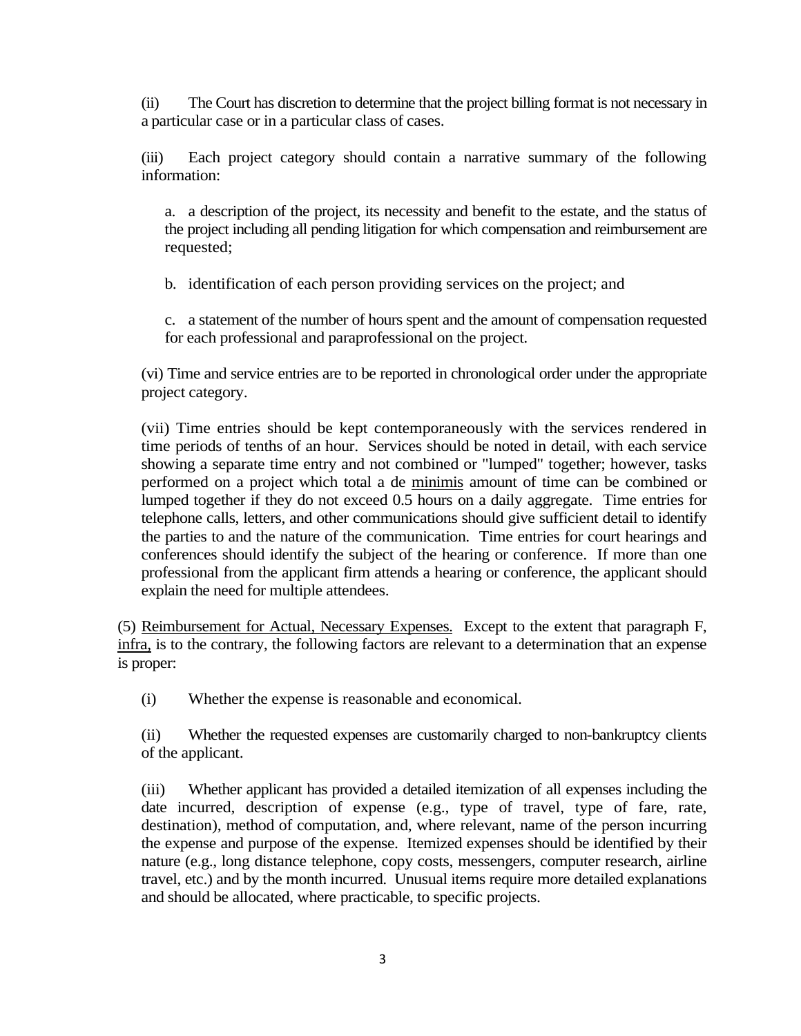(ii) The Court has discretion to determine that the project billing format is not necessary in a particular case or in a particular class of cases.

(iii) Each project category should contain a narrative summary of the following information:

a. a description of the project, its necessity and benefit to the estate, and the status of the project including all pending litigation for which compensation and reimbursement are requested;

b. identification of each person providing services on the project; and

c. a statement of the number of hours spent and the amount of compensation requested for each professional and paraprofessional on the project.

(vi) Time and service entries are to be reported in chronological order under the appropriate project category.

(vii) Time entries should be kept contemporaneously with the services rendered in time periods of tenths of an hour. Services should be noted in detail, with each service showing a separate time entry and not combined or "lumped" together; however, tasks performed on a project which total a de minimis amount of time can be combined or lumped together if they do not exceed 0.5 hours on a daily aggregate. Time entries for telephone calls, letters, and other communications should give sufficient detail to identify the parties to and the nature of the communication. Time entries for court hearings and conferences should identify the subject of the hearing or conference. If more than one professional from the applicant firm attends a hearing or conference, the applicant should explain the need for multiple attendees.

(5) Reimbursement for Actual, Necessary Expenses. Except to the extent that paragraph F, infra, is to the contrary, the following factors are relevant to a determination that an expense is proper:

(i) Whether the expense is reasonable and economical.

(ii) Whether the requested expenses are customarily charged to non-bankruptcy clients of the applicant.

(iii) Whether applicant has provided a detailed itemization of all expenses including the date incurred, description of expense (e.g., type of travel, type of fare, rate, destination), method of computation, and, where relevant, name of the person incurring the expense and purpose of the expense. Itemized expenses should be identified by their nature (e.g., long distance telephone, copy costs, messengers, computer research, airline travel, etc.) and by the month incurred. Unusual items require more detailed explanations and should be allocated, where practicable, to specific projects.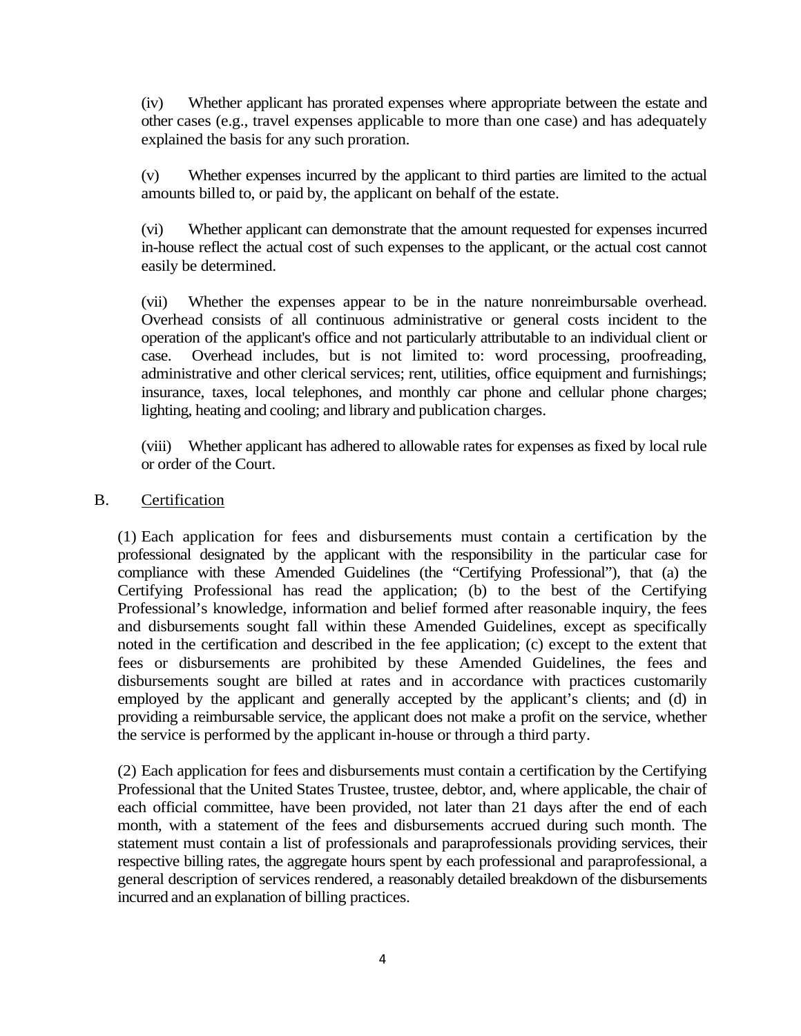(iv) Whether applicant has prorated expenses where appropriate between the estate and other cases (e.g., travel expenses applicable to more than one case) and has adequately explained the basis for any such proration.

(v) Whether expenses incurred by the applicant to third parties are limited to the actual amounts billed to, or paid by, the applicant on behalf of the estate.

(vi) Whether applicant can demonstrate that the amount requested for expenses incurred in-house reflect the actual cost of such expenses to the applicant, or the actual cost cannot easily be determined.

(vii) Whether the expenses appear to be in the nature nonreimbursable overhead. Overhead consists of all continuous administrative or general costs incident to the operation of the applicant's office and not particularly attributable to an individual client or case. Overhead includes, but is not limited to: word processing, proofreading, administrative and other clerical services; rent, utilities, office equipment and furnishings; insurance, taxes, local telephones, and monthly car phone and cellular phone charges; lighting, heating and cooling; and library and publication charges.

(viii) Whether applicant has adhered to allowable rates for expenses as fixed by local rule or order of the Court.

## B. Certification

(1) Each application for fees and disbursements must contain a certification by the professional designated by the applicant with the responsibility in the particular case for compliance with these Amended Guidelines (the "Certifying Professional"), that (a) the Certifying Professional has read the application; (b) to the best of the Certifying Professional's knowledge, information and belief formed after reasonable inquiry, the fees and disbursements sought fall within these Amended Guidelines, except as specifically noted in the certification and described in the fee application; (c) except to the extent that fees or disbursements are prohibited by these Amended Guidelines, the fees and disbursements sought are billed at rates and in accordance with practices customarily employed by the applicant and generally accepted by the applicant's clients; and (d) in providing a reimbursable service, the applicant does not make a profit on the service, whether the service is performed by the applicant in-house or through a third party.

(2) Each application for fees and disbursements must contain a certification by the Certifying Professional that the United States Trustee, trustee, debtor, and, where applicable, the chair of each official committee, have been provided, not later than 21 days after the end of each month, with a statement of the fees and disbursements accrued during such month. The statement must contain a list of professionals and paraprofessionals providing services, their respective billing rates, the aggregate hours spent by each professional and paraprofessional, a general description of services rendered, a reasonably detailed breakdown of the disbursements incurred and an explanation of billing practices.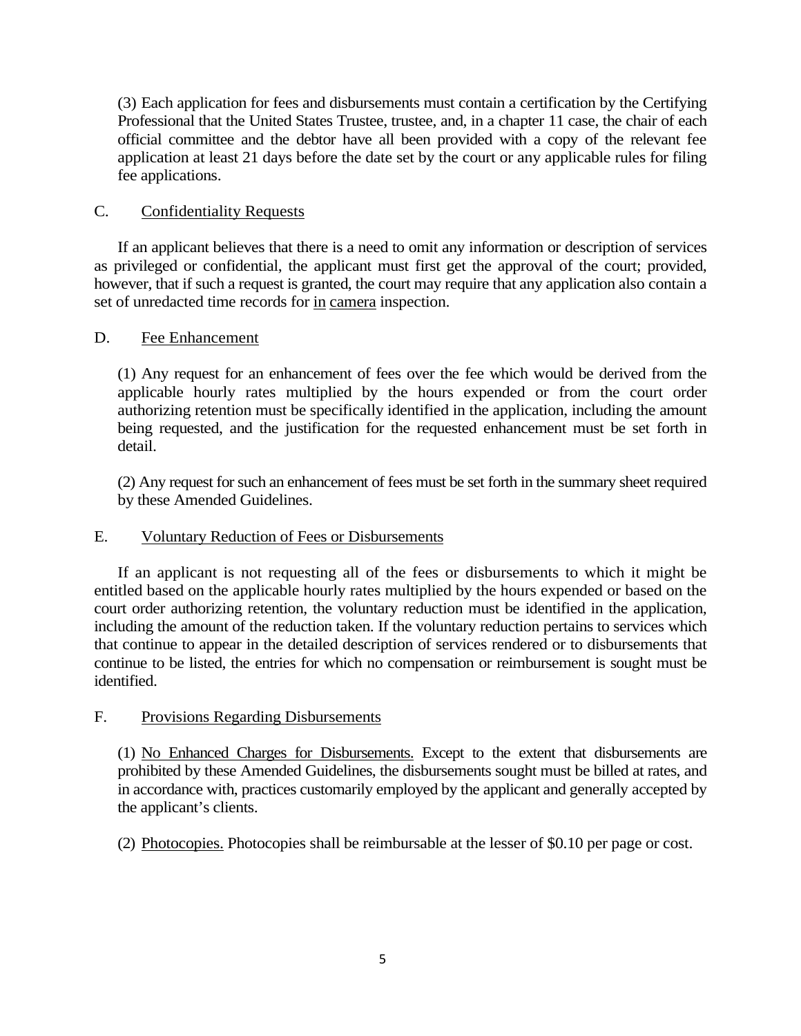(3) Each application for fees and disbursements must contain a certification by the Certifying Professional that the United States Trustee, trustee, and, in a chapter 11 case, the chair of each official committee and the debtor have all been provided with a copy of the relevant fee application at least 21 days before the date set by the court or any applicable rules for filing fee applications.

# C. Confidentiality Requests

If an applicant believes that there is a need to omit any information or description of services as privileged or confidential, the applicant must first get the approval of the court; provided, however, that if such a request is granted, the court may require that any application also contain a set of unredacted time records for in camera inspection.

### D. Fee Enhancement

(1) Any request for an enhancement of fees over the fee which would be derived from the applicable hourly rates multiplied by the hours expended or from the court order authorizing retention must be specifically identified in the application, including the amount being requested, and the justification for the requested enhancement must be set forth in detail.

(2) Any request for such an enhancement of fees must be set forth in the summary sheet required by these Amended Guidelines.

### E. Voluntary Reduction of Fees or Disbursements

If an applicant is not requesting all of the fees or disbursements to which it might be entitled based on the applicable hourly rates multiplied by the hours expended or based on the court order authorizing retention, the voluntary reduction must be identified in the application, including the amount of the reduction taken. If the voluntary reduction pertains to services which that continue to appear in the detailed description of services rendered or to disbursements that continue to be listed, the entries for which no compensation or reimbursement is sought must be identified.

### F. Provisions Regarding Disbursements

(1) No Enhanced Charges for Disbursements. Except to the extent that disbursements are prohibited by these Amended Guidelines, the disbursements sought must be billed at rates, and in accordance with, practices customarily employed by the applicant and generally accepted by the applicant's clients.

(2) Photocopies. Photocopies shall be reimbursable at the lesser of \$0.10 per page or cost.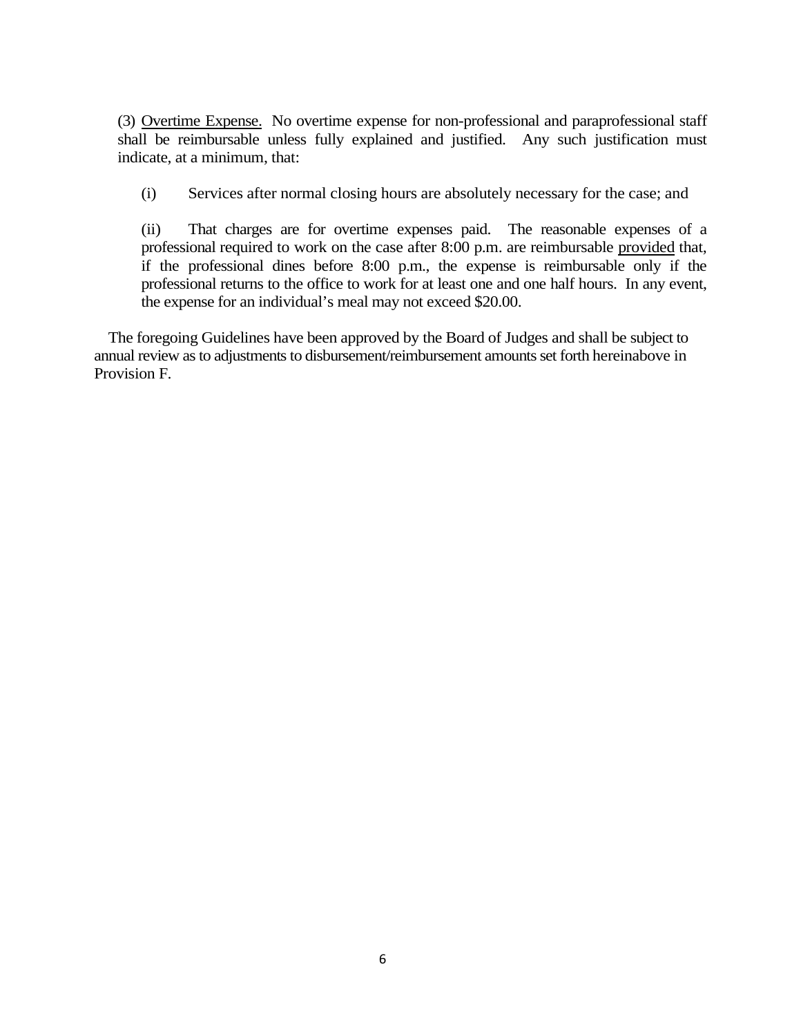(3) Overtime Expense. No overtime expense for non-professional and paraprofessional staff shall be reimbursable unless fully explained and justified. Any such justification must indicate, at a minimum, that:

(i) Services after normal closing hours are absolutely necessary for the case; and

(ii) That charges are for overtime expenses paid. The reasonable expenses of a professional required to work on the case after 8:00 p.m. are reimbursable provided that, if the professional dines before 8:00 p.m., the expense is reimbursable only if the professional returns to the office to work for at least one and one half hours. In any event, the expense for an individual's meal may not exceed \$20.00.

The foregoing Guidelines have been approved by the Board of Judges and shall be subject to annual review as to adjustments to disbursement/reimbursement amounts set forth hereinabove in Provision F.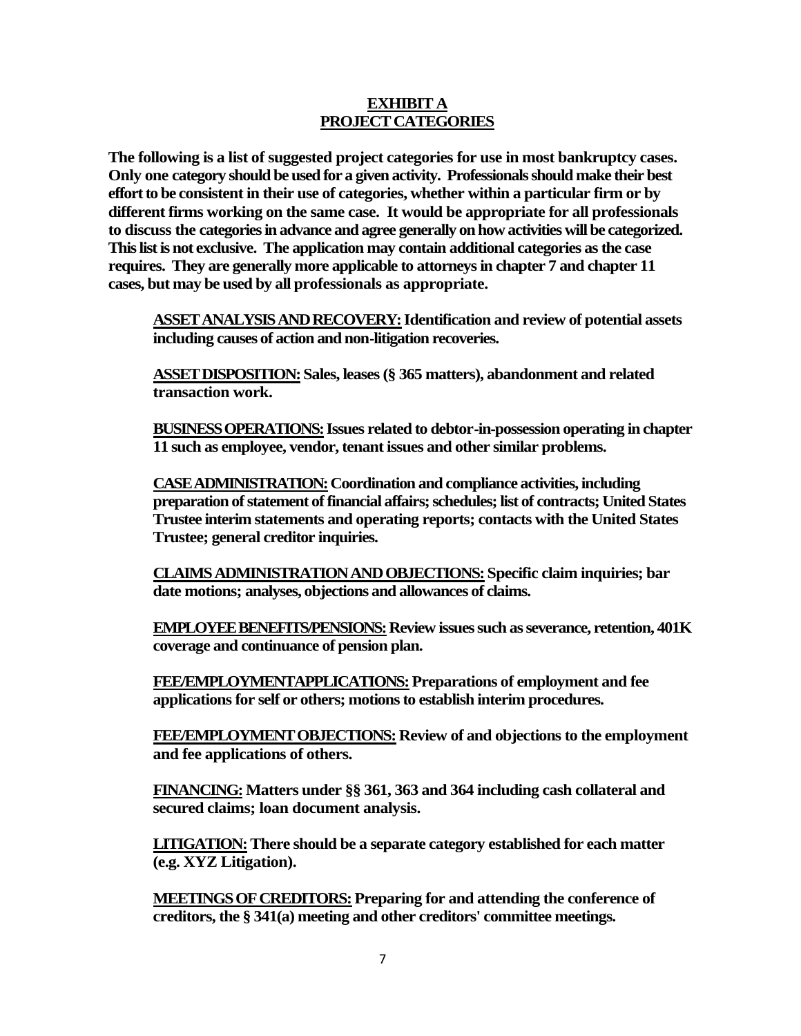#### **EXHIBIT A PROJECT CATEGORIES**

**The following is a list of suggested project categories for use in most bankruptcy cases. Only one category should be used for a given activity. Professionals should make their best effort to be consistent in their use of categories, whether within a particular firm or by different firms working on the same case. It would be appropriate for all professionals to discuss the categories in advance and agree generally on how activities will be categorized. This list is not exclusive. The application may contain additional categories as the case requires. They are generally more applicable to attorneys in chapter 7 and chapter 11 cases, but may be used by all professionals as appropriate.**

**ASSETANALYSISANDRECOVERY: Identification and review of potential assets including causes of action and non**‐**litigation recoveries.**

**ASSETDISPOSITION: Sales, leases (§ 365 matters), abandonment and related transaction work.**

**BUSINESSOPERATIONS:Issues related to debtor**‐**in**‐**possession operating in chapter 11 such as employee, vendor, tenant issues and other similar problems.**

**CASEADMINISTRATION:Coordination and compliance activities, including preparation of statement of financial affairs; schedules; list of contracts; United States Trustee interim statements and operating reports; contacts with the United States Trustee; general creditor inquiries.**

**CLAIMSADMINISTRATIONANDOBJECTIONS: Specific claim inquiries; bar date motions; analyses, objections and allowances of claims.**

**EMPLOYEE BENEFITS/PENSIONS: Review issues such as severance, retention, 401K coverage and continuance of pension plan.**

**FEE/EMPLOYMENTAPPLICATIONS: Preparations of employment and fee applications for self or others; motions to establish interim procedures.**

**FEE/EMPLOYMENTOBJECTIONS: Review of and objections to the employment and fee applications of others.**

**FINANCING: Matters under §§ 361, 363 and 364 including cash collateral and secured claims; loan document analysis.**

**LITIGATION: There should be a separate category established for each matter (e.g. XYZ Litigation).**

**MEETINGSOFCREDITORS: Preparing for and attending the conference of creditors, the § 341(a) meeting and other creditors' committee meetings.**